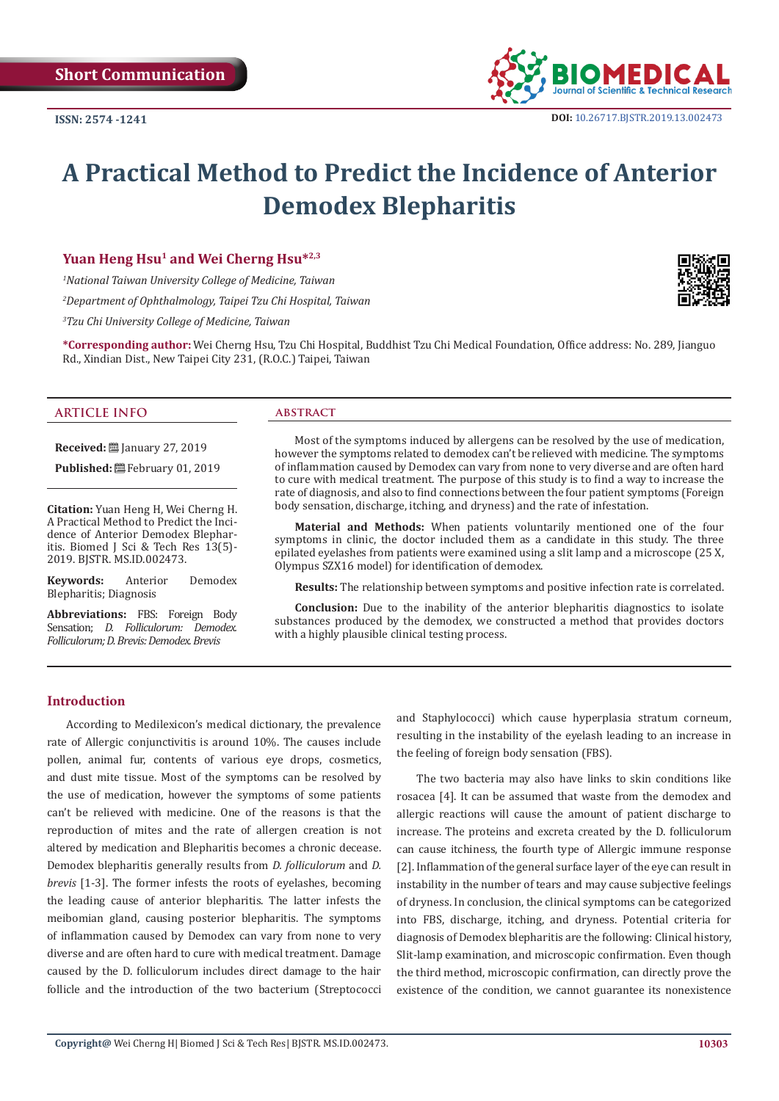

# **A Practical Method to Predict the Incidence of Anterior Demodex Blepharitis**

## Yuan Heng Hsu<sup>1</sup> and Wei Cherng Hsu<sup>\*2,3</sup>

*1 National Taiwan University College of Medicine, Taiwan* 

*2 Department of Ophthalmology, Taipei Tzu Chi Hospital, Taiwan*

*3 Tzu Chi University College of Medicine, Taiwan*

**\*Corresponding author:** Wei Cherng Hsu, Tzu Chi Hospital, Buddhist Tzu Chi Medical Foundation, Office address: No. 289, Jianguo Rd., Xindian Dist., New Taipei City 231, (R.O.C.) Taipei, Taiwan

## **ARTICLE INFO**

**Received:** ■ January 27, 2019

**Published:** 巴 February 01, 2019

**Citation:** Yuan Heng H, Wei Cherng H. A Practical Method to Predict the Incidence of Anterior Demodex Blepharitis. Biomed J Sci & Tech Res 13(5)- 2019. BJSTR. MS.ID.002473.

**Keywords:** Anterior Demodex Blepharitis; Diagnosis

**Abbreviations:** FBS: Foreign Body Sensation; *D. Folliculorum: Demodex. Folliculorum; D. Brevis: Demodex. Brevis*

#### **abstract**

Most of the symptoms induced by allergens can be resolved by the use of medication, however the symptoms related to demodex can't be relieved with medicine. The symptoms of inflammation caused by Demodex can vary from none to very diverse and are often hard to cure with medical treatment. The purpose of this study is to find a way to increase the rate of diagnosis, and also to find connections between the four patient symptoms (Foreign body sensation, discharge, itching, and dryness) and the rate of infestation.

**Material and Methods:** When patients voluntarily mentioned one of the four symptoms in clinic, the doctor included them as a candidate in this study. The three epilated eyelashes from patients were examined using a slit lamp and a microscope (25 X, Olympus SZX16 model) for identification of demodex.

**Results:** The relationship between symptoms and positive infection rate is correlated.

**Conclusion:** Due to the inability of the anterior blepharitis diagnostics to isolate substances produced by the demodex, we constructed a method that provides doctors with a highly plausible clinical testing process.

## **Introduction**

According to Medilexicon's medical dictionary, the prevalence rate of Allergic conjunctivitis is around 10%. The causes include pollen, animal fur, contents of various eye drops, cosmetics, and dust mite tissue. Most of the symptoms can be resolved by the use of medication, however the symptoms of some patients can't be relieved with medicine. One of the reasons is that the reproduction of mites and the rate of allergen creation is not altered by medication and Blepharitis becomes a chronic decease. Demodex blepharitis generally results from *D. folliculorum* and *D. brevis* [1-3]. The former infests the roots of eyelashes, becoming the leading cause of anterior blepharitis. The latter infests the meibomian gland, causing posterior blepharitis. The symptoms of inflammation caused by Demodex can vary from none to very diverse and are often hard to cure with medical treatment. Damage caused by the D. folliculorum includes direct damage to the hair follicle and the introduction of the two bacterium (Streptococci

and Staphylococci) which cause hyperplasia stratum corneum, resulting in the instability of the eyelash leading to an increase in the feeling of foreign body sensation (FBS).

The two bacteria may also have links to skin conditions like rosacea [4]. It can be assumed that waste from the demodex and allergic reactions will cause the amount of patient discharge to increase. The proteins and excreta created by the D. folliculorum can cause itchiness, the fourth type of Allergic immune response [2]. Inflammation of the general surface layer of the eye can result in instability in the number of tears and may cause subjective feelings of dryness. In conclusion, the clinical symptoms can be categorized into FBS, discharge, itching, and dryness. Potential criteria for diagnosis of Demodex blepharitis are the following: Clinical history, Slit-lamp examination, and microscopic confirmation. Even though the third method, microscopic confirmation, can directly prove the existence of the condition, we cannot guarantee its nonexistence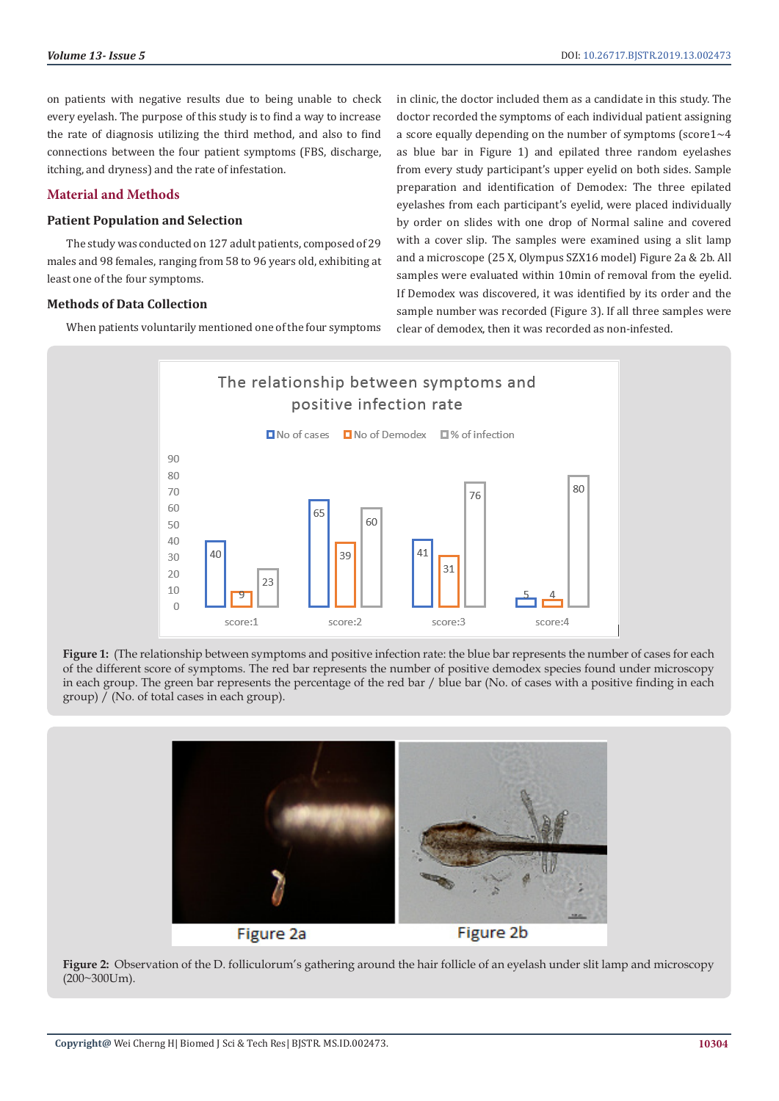on patients with negative results due to being unable to check every eyelash. The purpose of this study is to find a way to increase the rate of diagnosis utilizing the third method, and also to find connections between the four patient symptoms (FBS, discharge, itching, and dryness) and the rate of infestation.

# **Material and Methods**

## **Patient Population and Selection**

The study was conducted on 127 adult patients, composed of 29 males and 98 females, ranging from 58 to 96 years old, exhibiting at least one of the four symptoms.

## **Methods of Data Collection**

When patients voluntarily mentioned one of the four symptoms

in clinic, the doctor included them as a candidate in this study. The doctor recorded the symptoms of each individual patient assigning a score equally depending on the number of symptoms (score1~4 as blue bar in Figure 1) and epilated three random eyelashes from every study participant's upper eyelid on both sides. Sample preparation and identification of Demodex: The three epilated eyelashes from each participant's eyelid, were placed individually by order on slides with one drop of Normal saline and covered with a cover slip. The samples were examined using a slit lamp and a microscope (25 X, Olympus SZX16 model) Figure 2a & 2b. All samples were evaluated within 10min of removal from the eyelid. If Demodex was discovered, it was identified by its order and the sample number was recorded (Figure 3). If all three samples were clear of demodex, then it was recorded as non-infested.



**Figure 1:** (The relationship between symptoms and positive infection rate: the blue bar represents the number of cases for each of the different score of symptoms. The red bar represents the number of positive demodex species found under microscopy in each group. The green bar represents the percentage of the red bar / blue bar (No. of cases with a positive finding in each group) / (No. of total cases in each group).



**Figure 2:** Observation of the D. folliculorum's gathering around the hair follicle of an eyelash under slit lamp and microscopy (200~300Um).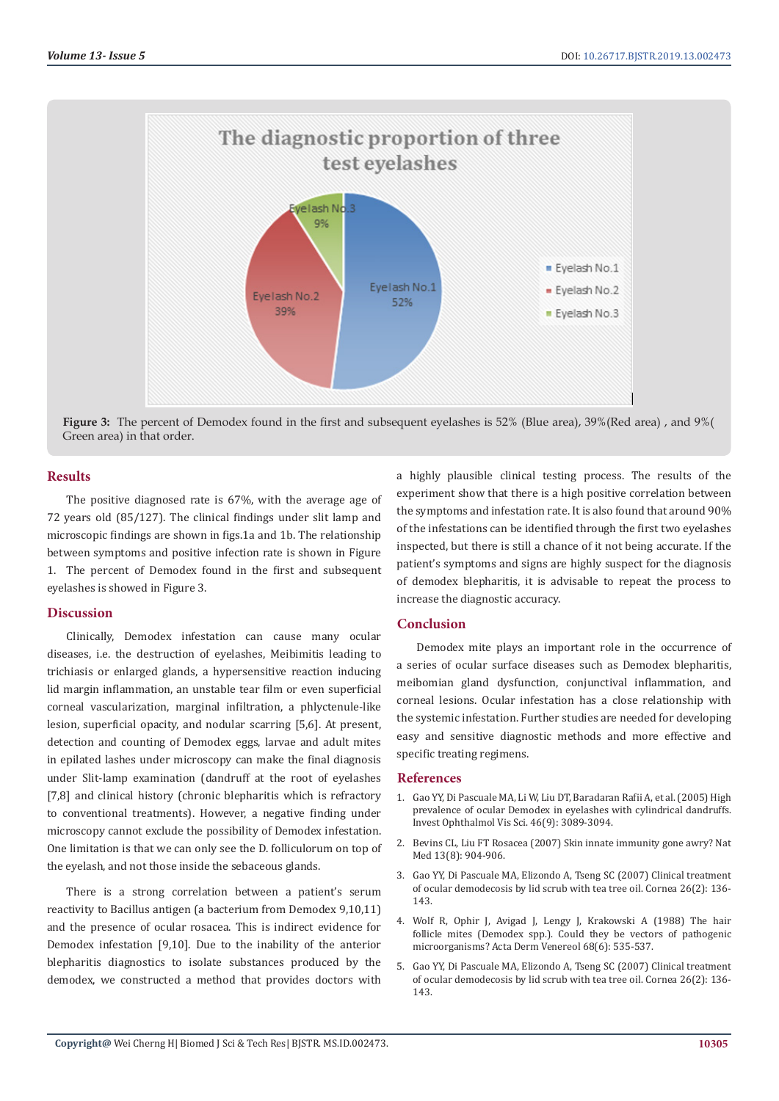

**Figure 3:** The percent of Demodex found in the first and subsequent eyelashes is 52% (Blue area), 39%(Red area) , and 9%( Green area) in that order.

# **Results**

The positive diagnosed rate is 67%, with the average age of 72 years old (85/127). The clinical findings under slit lamp and microscopic findings are shown in figs.1a and 1b. The relationship between symptoms and positive infection rate is shown in Figure 1. The percent of Demodex found in the first and subsequent eyelashes is showed in Figure 3.

# **Discussion**

Clinically, Demodex infestation can cause many ocular diseases, i.e. the destruction of eyelashes, Meibimitis leading to trichiasis or enlarged glands, a hypersensitive reaction inducing lid margin inflammation, an unstable tear film or even superficial corneal vascularization, marginal infiltration, a phlyctenule-like lesion, superficial opacity, and nodular scarring [5,6]. At present, detection and counting of Demodex eggs, larvae and adult mites in epilated lashes under microscopy can make the final diagnosis under Slit-lamp examination (dandruff at the root of eyelashes [7,8] and clinical history (chronic blepharitis which is refractory to conventional treatments). However, a negative finding under microscopy cannot exclude the possibility of Demodex infestation. One limitation is that we can only see the D. folliculorum on top of the eyelash, and not those inside the sebaceous glands.

There is a strong correlation between a patient's serum reactivity to Bacillus antigen (a bacterium from Demodex 9,10,11) and the presence of ocular rosacea. This is indirect evidence for Demodex infestation [9,10]. Due to the inability of the anterior blepharitis diagnostics to isolate substances produced by the demodex, we constructed a method that provides doctors with

a highly plausible clinical testing process. The results of the experiment show that there is a high positive correlation between the symptoms and infestation rate. It is also found that around 90% of the infestations can be identified through the first two eyelashes inspected, but there is still a chance of it not being accurate. If the patient's symptoms and signs are highly suspect for the diagnosis of demodex blepharitis, it is advisable to repeat the process to increase the diagnostic accuracy.

# **Conclusion**

Demodex mite plays an important role in the occurrence of a series of ocular surface diseases such as Demodex blepharitis, meibomian gland dysfunction, conjunctival inflammation, and corneal lesions. Ocular infestation has a close relationship with the systemic infestation. Further studies are needed for developing easy and sensitive diagnostic methods and more effective and specific treating regimens.

# **References**

- 1. [Gao YY, Di Pascuale MA, Li W, Liu DT, Baradaran Rafii A, et al. \(2005\) High](https://www.ncbi.nlm.nih.gov/pubmed/16123406) [prevalence of ocular Demodex in eyelashes with cylindrical dandruffs.](https://www.ncbi.nlm.nih.gov/pubmed/16123406) [Invest Ophthalmol Vis Sci. 46\(9\): 3089-3094.](https://www.ncbi.nlm.nih.gov/pubmed/16123406)
- 2. [Bevins CL, Liu FT Rosacea \(2007\) Skin innate immunity gone awry? Nat](https://www.ncbi.nlm.nih.gov/pubmed/17680001) [Med 13\(8\): 904-906.](https://www.ncbi.nlm.nih.gov/pubmed/17680001)
- 3. [Gao YY, Di Pascuale MA, Elizondo A, Tseng SC \(2007\) Clinical treatment](https://www.ncbi.nlm.nih.gov/pubmed/17251800) [of ocular demodecosis by lid scrub with tea tree oil. Cornea 26\(2\): 136-](https://www.ncbi.nlm.nih.gov/pubmed/17251800) [143.](https://www.ncbi.nlm.nih.gov/pubmed/17251800)
- 4. [Wolf R, Ophir J, Avigad J, Lengy J, Krakowski A \(1988\) The hair](https://www.ncbi.nlm.nih.gov/pubmed/2467494) [follicle mites \(Demodex spp.\). Could they be vectors of pathogenic](https://www.ncbi.nlm.nih.gov/pubmed/2467494) [microorganisms? Acta Derm Venereol 68\(6\): 535-537.](https://www.ncbi.nlm.nih.gov/pubmed/2467494)
- 5. [Gao YY, Di Pascuale MA, Elizondo A, Tseng SC \(2007\) Clinical treatment](https://www.ncbi.nlm.nih.gov/pubmed/17251800) [of ocular demodecosis by lid scrub with tea tree oil. Cornea 26\(2\): 136-](https://www.ncbi.nlm.nih.gov/pubmed/17251800) [143.](https://www.ncbi.nlm.nih.gov/pubmed/17251800)